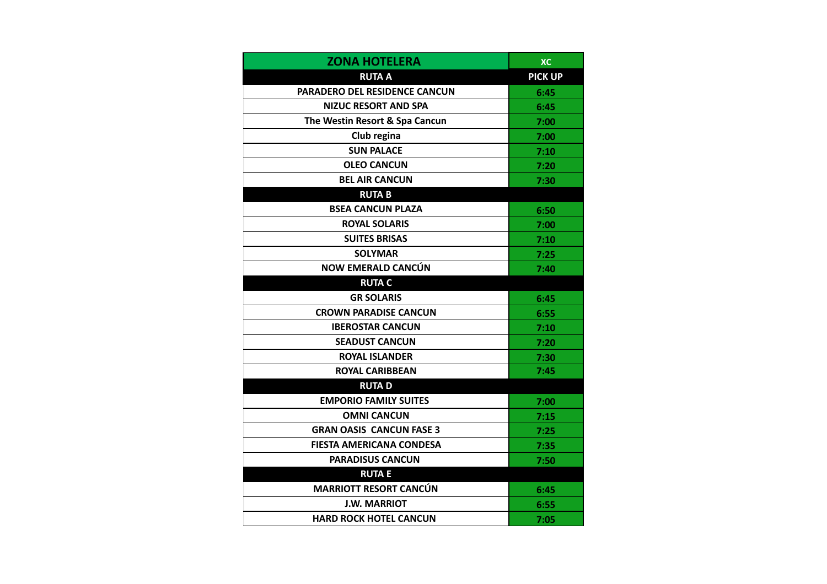| <b>ZONA HOTELERA</b>            | <b>XC</b>      |
|---------------------------------|----------------|
| <b>RUTA A</b>                   | <b>PICK UP</b> |
| PARADERO DEL RESIDENCE CANCUN   | 6:45           |
| <b>NIZUC RESORT AND SPA</b>     | 6:45           |
| The Westin Resort & Spa Cancun  | 7:00           |
| Club regina                     | 7:00           |
| <b>SUN PALACE</b>               | 7:10           |
| <b>OLEO CANCUN</b>              | 7:20           |
| <b>BEL AIR CANCUN</b>           | 7:30           |
| <b>RUTAB</b>                    |                |
| <b>BSEA CANCUN PLAZA</b>        | 6:50           |
| <b>ROYAL SOLARIS</b>            | 7:00           |
| <b>SUITES BRISAS</b>            | 7:10           |
| <b>SOLYMAR</b>                  | 7:25           |
| <b>NOW EMERALD CANCÚN</b>       | 7:40           |
| <b>RUTA C</b>                   |                |
| <b>GR SOLARIS</b>               | 6:45           |
| <b>CROWN PARADISE CANCUN</b>    | 6:55           |
| <b>IBEROSTAR CANCUN</b>         | 7:10           |
| <b>SEADUST CANCUN</b>           | 7:20           |
| <b>ROYAL ISLANDER</b>           | 7:30           |
| <b>ROYAL CARIBBEAN</b>          | 7:45           |
| <b>RUTAD</b>                    |                |
| <b>EMPORIO FAMILY SUITES</b>    | 7:00           |
| <b>OMNI CANCUN</b>              | 7:15           |
| <b>GRAN OASIS CANCUN FASE 3</b> | 7:25           |
| <b>FIESTA AMERICANA CONDESA</b> | 7:35           |
| <b>PARADISUS CANCUN</b>         | 7:50           |
| <b>RUTAE</b>                    |                |
| <b>MARRIOTT RESORT CANCÚN</b>   | 6:45           |
| <b>J.W. MARRIOT</b>             | 6:55           |
| <b>HARD ROCK HOTEL CANCUN</b>   | 7:05           |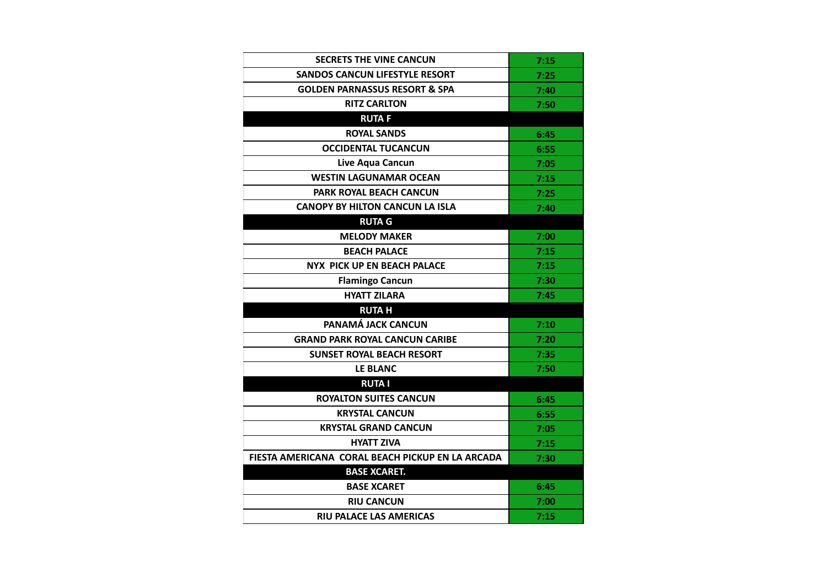| <b>SECRETS THE VINE CANCUN</b>                   | 7:15 |
|--------------------------------------------------|------|
| SANDOS CANCUN LIFESTYLE RESORT                   | 7:25 |
| <b>GOLDEN PARNASSUS RESORT &amp; SPA</b>         | 7:40 |
| <b>RITZ CARLTON</b>                              | 7:50 |
| <b>RUTAF</b>                                     |      |
| <b>ROYAL SANDS</b>                               | 6:45 |
| <b>OCCIDENTAL TUCANCUN</b>                       | 6:55 |
| Live Aqua Cancun                                 | 7:05 |
| <b>WESTIN LAGUNAMAR OCEAN</b>                    | 7:15 |
| <b>PARK ROYAL BEACH CANCUN</b>                   | 7:25 |
| <b>CANOPY BY HILTON CANCUN LA ISLA</b>           | 7:40 |
| <b>RUTA G</b>                                    |      |
| <b>MELODY MAKER</b>                              | 7:00 |
| <b>BEACH PALACE</b>                              | 7:15 |
| <b>NYX PICK UP EN BEACH PALACE</b>               | 7:15 |
| <b>Flamingo Cancun</b>                           | 7:30 |
| <b>HYATT ZILARA</b>                              | 7:45 |
| <b>RUTA H</b>                                    |      |
| PANAMÁ JACK CANCUN                               | 7:10 |
| <b>GRAND PARK ROYAL CANCUN CARIBE</b>            | 7:20 |
| <b>SUNSET ROYAL BEACH RESORT</b>                 | 7:35 |
| LE BLANC                                         | 7:50 |
| <b>RUTAI</b>                                     |      |
| <b>ROYALTON SUITES CANCUN</b>                    | 6:45 |
| <b>KRYSTAL CANCUN</b>                            | 6:55 |
| <b>KRYSTAL GRAND CANCUN</b>                      | 7:05 |
| <b>HYATT ZIVA</b>                                | 7:15 |
| FIESTA AMERICANA CORAL BEACH PICKUP EN LA ARCADA | 7:30 |
| <b>BASE XCARET.</b>                              |      |
| <b>BASE XCARET</b>                               | 6:45 |
| <b>RIU CANCUN</b>                                | 7:00 |
| <b>RIU PALACE LAS AMERICAS</b>                   | 7:15 |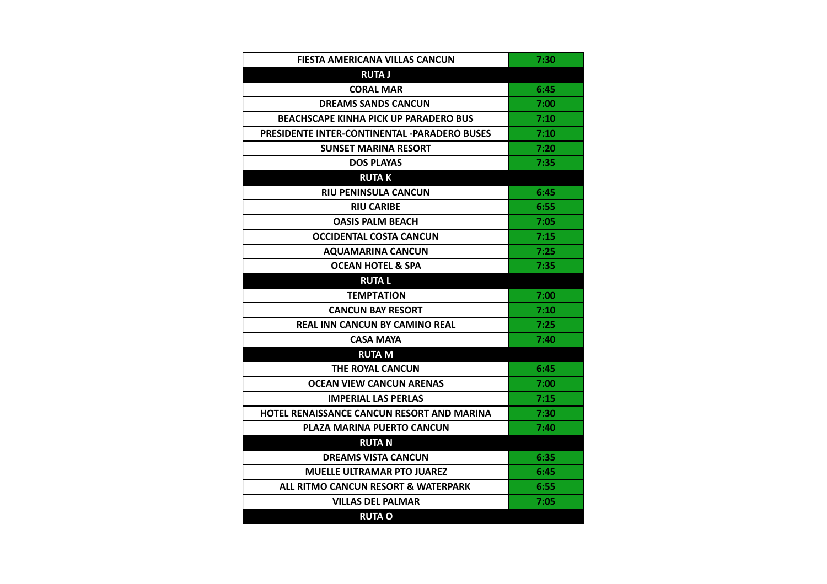| FIESTA AMERICANA VILLAS CANCUN                      | 7:30 |
|-----------------------------------------------------|------|
| <b>RUTA J</b>                                       |      |
| <b>CORAL MAR</b>                                    | 6:45 |
| <b>DREAMS SANDS CANCUN</b>                          | 7:00 |
| <b>BEACHSCAPE KINHA PICK UP PARADERO BUS</b>        | 7:10 |
| <b>PRESIDENTE INTER-CONTINENTAL -PARADERO BUSES</b> | 7:10 |
| <b>SUNSET MARINA RESORT</b>                         | 7:20 |
| <b>DOS PLAYAS</b>                                   | 7:35 |
| <b>RUTAK</b>                                        |      |
| <b>RIU PENINSULA CANCUN</b>                         | 6:45 |
| <b>RIU CARIBE</b>                                   | 6:55 |
| <b>OASIS PALM BEACH</b>                             | 7:05 |
| <b>OCCIDENTAL COSTA CANCUN</b>                      | 7:15 |
| <b>AQUAMARINA CANCUN</b>                            | 7:25 |
| <b>OCEAN HOTEL &amp; SPA</b>                        | 7:35 |
| <b>RUTAL</b>                                        |      |
| <b>TEMPTATION</b>                                   | 7:00 |
| <b>CANCUN BAY RESORT</b>                            | 7:10 |
| <b>REAL INN CANCUN BY CAMINO REAL</b>               | 7:25 |
| <b>CASA MAYA</b>                                    | 7:40 |
| <b>RUTA M</b>                                       |      |
| THE ROYAL CANCUN                                    | 6:45 |
| OCEAN VIEW CANCUN ARENAS                            | 7:00 |
| <b>IMPERIAL LAS PERLAS</b>                          | 7:15 |
| HOTEL RENAISSANCE CANCUN RESORT AND MARINA          | 7:30 |
| <b>PLAZA MARINA PUERTO CANCUN</b>                   | 7:40 |
| <b>RUTAN</b>                                        |      |
| <b>DREAMS VISTA CANCUN</b>                          | 6:35 |
| <b>MUELLE ULTRAMAR PTO JUAREZ</b>                   | 6:45 |
| ALL RITMO CANCUN RESORT & WATERPARK                 | 6:55 |
| <b>VILLAS DEL PALMAR</b>                            | 7:05 |
| <b>RUTA O</b>                                       |      |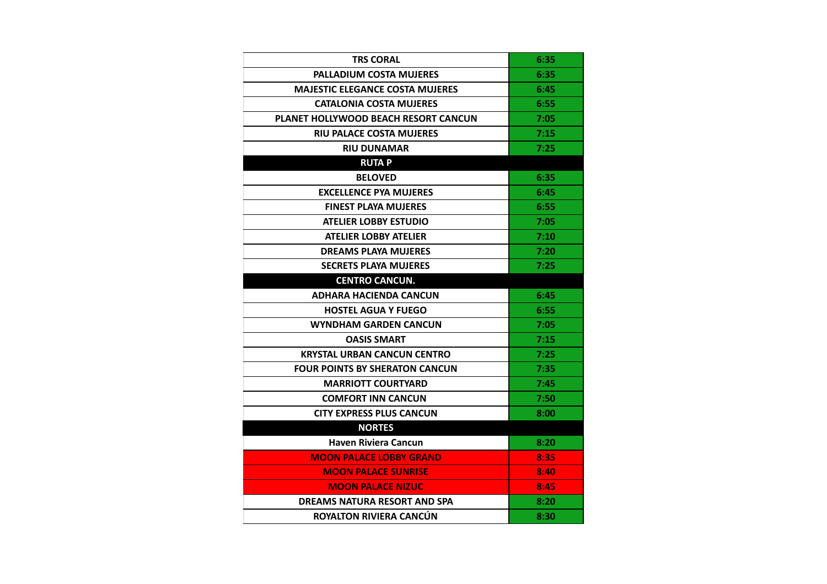| <b>TRS CORAL</b>                            | 6:35 |
|---------------------------------------------|------|
| <b>PALLADIUM COSTA MUJERES</b>              | 6:35 |
| <b>MAJESTIC ELEGANCE COSTA MUJERES</b>      | 6:45 |
| <b>CATALONIA COSTA MUJERES</b>              | 6:55 |
| <b>PLANET HOLLYWOOD BEACH RESORT CANCUN</b> | 7:05 |
| <b>RIU PALACE COSTA MUJERES</b>             | 7:15 |
| <b>RIU DUNAMAR</b>                          | 7:25 |
| <b>RUTAP</b>                                |      |
| <b>BELOVED</b>                              | 6:35 |
| <b>EXCELLENCE PYA MUJERES</b>               | 6:45 |
| <b>FINEST PLAYA MUJERES</b>                 | 6:55 |
| <b>ATELIER LOBBY ESTUDIO</b>                | 7:05 |
| <b>ATELIER LOBBY ATELIER</b>                | 7:10 |
| <b>DREAMS PLAYA MUJERES</b>                 | 7:20 |
| <b>SECRETS PLAYA MUJERES</b>                | 7:25 |
| <b>CENTRO CANCUN.</b>                       |      |
| <b>ADHARA HACIENDA CANCUN</b>               | 6:45 |
| <b>HOSTEL AGUA Y FUEGO</b>                  | 6:55 |
| <b>WYNDHAM GARDEN CANCUN</b>                | 7:05 |
| <b>OASIS SMART</b>                          | 7:15 |
| <b>KRYSTAL URBAN CANCUN CENTRO</b>          | 7:25 |
| <b>FOUR POINTS BY SHERATON CANCUN</b>       | 7:35 |
| <b>MARRIOTT COURTYARD</b>                   | 7:45 |
| <b>COMFORT INN CANCUN</b>                   | 7:50 |
| CITY EXPRESS PLUS CANCUN                    | 8:00 |
| <b>NORTES</b>                               |      |
| <b>Haven Riviera Cancun</b>                 | 8:20 |
| <b>MOON PALACE LOBBY GRAND</b>              | 8:35 |
| <b>MOON PALACE SUNRISE</b>                  | 8:40 |
| <b>MOON PALACE NIZUC</b>                    | 8:45 |
| DREAMS NATURA RESORT AND SPA                | 8:20 |
| ROYALTON RIVIERA CANCÚN                     | 8:30 |